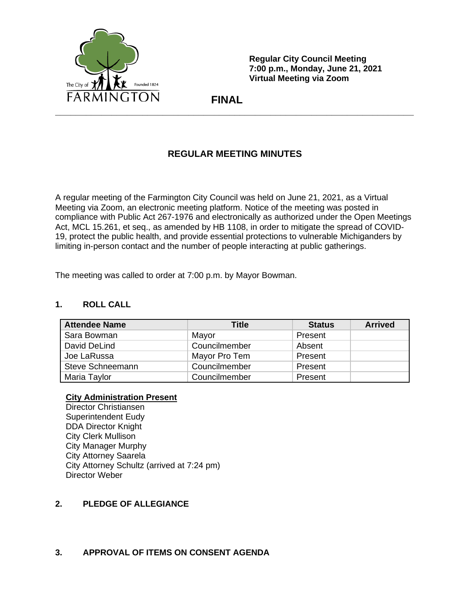

**Regular City Council Meeting 7:00 p.m., Monday, June 21, 2021 Virtual Meeting via Zoom**

 **FINAL**

# **REGULAR MEETING MINUTES**

A regular meeting of the Farmington City Council was held on June 21, 2021, as a Virtual Meeting via Zoom, an electronic meeting platform. Notice of the meeting was posted in compliance with Public Act 267-1976 and electronically as authorized under the Open Meetings Act, MCL 15.261, et seq., as amended by HB 1108, in order to mitigate the spread of COVID-19, protect the public health, and provide essential protections to vulnerable Michiganders by limiting in-person contact and the number of people interacting at public gatherings.

The meeting was called to order at 7:00 p.m. by Mayor Bowman.

## **1. ROLL CALL**

| <b>Attendee Name</b> | Title         | <b>Status</b> | <b>Arrived</b> |
|----------------------|---------------|---------------|----------------|
| Sara Bowman          | Mayor         | Present       |                |
| David DeLind         | Councilmember | Absent        |                |
| Joe LaRussa          | Mayor Pro Tem | Present       |                |
| Steve Schneemann     | Councilmember | Present       |                |
| Maria Taylor         | Councilmember | Present       |                |

## **City Administration Present**

Director Christiansen Superintendent Eudy DDA Director Knight City Clerk Mullison City Manager Murphy City Attorney Saarela City Attorney Schultz (arrived at 7:24 pm) Director Weber

## **2. PLEDGE OF ALLEGIANCE**

## **3. APPROVAL OF ITEMS ON CONSENT AGENDA**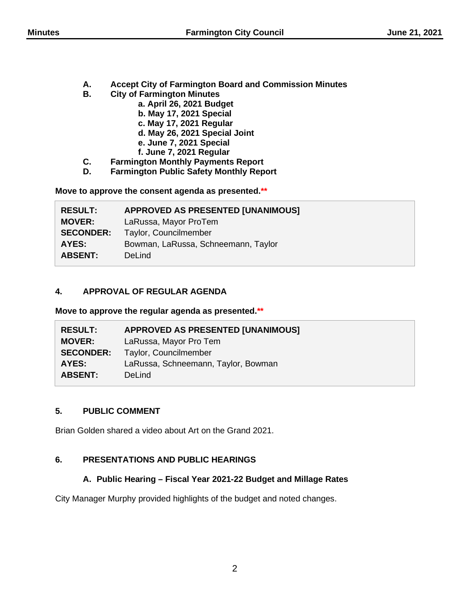- **A. Accept City of Farmington Board and Commission Minutes**
- **B. City of Farmington Minutes**
	- **a. April 26, 2021 Budget**
	- **b. May 17, 2021 Special**
	- **c. May 17, 2021 Regular**
	- **d. May 26, 2021 Special Joint**
	- **e. June 7, 2021 Special**
	- **f. June 7, 2021 Regular**
- **C. Farmington Monthly Payments Report**
- **D. Farmington Public Safety Monthly Report**

**Move to approve the consent agenda as presented.\*\***

| <b>RESULT:</b>   | <b>APPROVED AS PRESENTED [UNANIMOUS]</b> |
|------------------|------------------------------------------|
| <b>MOVER:</b>    | LaRussa, Mayor ProTem                    |
| <b>SECONDER:</b> | Taylor, Councilmember                    |
| AYES:            | Bowman, LaRussa, Schneemann, Taylor      |
| <b>ABSENT:</b>   | DeLind                                   |

## **4. APPROVAL OF REGULAR AGENDA**

**Move to approve the regular agenda as presented.\*\***

| <b>RESULT:</b>   | <b>APPROVED AS PRESENTED [UNANIMOUS]</b> |
|------------------|------------------------------------------|
| <b>MOVER:</b>    | LaRussa, Mayor Pro Tem                   |
| <b>SECONDER:</b> | Taylor, Councilmember                    |
| AYES:            | LaRussa, Schneemann, Taylor, Bowman      |
| <b>ABSENT:</b>   | DeLind                                   |

## **5. PUBLIC COMMENT**

Brian Golden shared a video about Art on the Grand 2021.

## **6. PRESENTATIONS AND PUBLIC HEARINGS**

## **A. Public Hearing – Fiscal Year 2021-22 Budget and Millage Rates**

City Manager Murphy provided highlights of the budget and noted changes.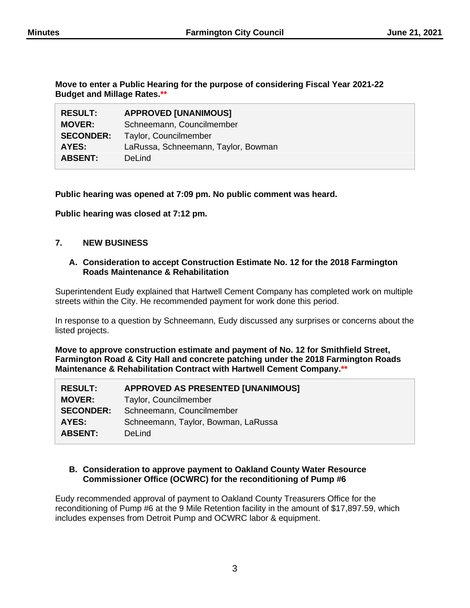**Move to enter a Public Hearing for the purpose of considering Fiscal Year 2021-22 Budget and Millage Rates.\*\***

| <b>RESULT:</b>   | <b>APPROVED [UNANIMOUS]</b>         |
|------------------|-------------------------------------|
| <b>MOVER:</b>    | Schneemann, Councilmember           |
| <b>SECONDER:</b> | Taylor, Councilmember               |
| AYES:            | LaRussa, Schneemann, Taylor, Bowman |
| <b>ABSENT:</b>   | DeLind                              |

#### **Public hearing was opened at 7:09 pm. No public comment was heard.**

**Public hearing was closed at 7:12 pm.**

## **7. NEW BUSINESS**

### **A. Consideration to accept Construction Estimate No. 12 for the 2018 Farmington Roads Maintenance & Rehabilitation**

Superintendent Eudy explained that Hartwell Cement Company has completed work on multiple streets within the City. He recommended payment for work done this period.

In response to a question by Schneemann, Eudy discussed any surprises or concerns about the listed projects.

**Move to approve construction estimate and payment of No. 12 for Smithfield Street, Farmington Road & City Hall and concrete patching under the 2018 Farmington Roads Maintenance & Rehabilitation Contract with Hartwell Cement Company.\*\***

| <b>RESULT:</b>   | <b>APPROVED AS PRESENTED [UNANIMOUS]</b> |
|------------------|------------------------------------------|
| <b>MOVER:</b>    | Taylor, Councilmember                    |
| <b>SECONDER:</b> | Schneemann, Councilmember                |
| AYES:            | Schneemann, Taylor, Bowman, LaRussa      |
| <b>ABSENT:</b>   | DeLind                                   |
|                  |                                          |

#### **B. Consideration to approve payment to Oakland County Water Resource Commissioner Office (OCWRC) for the reconditioning of Pump #6**

Eudy recommended approval of payment to Oakland County Treasurers Office for the reconditioning of Pump #6 at the 9 Mile Retention facility in the amount of \$17,897.59, which includes expenses from Detroit Pump and OCWRC labor & equipment.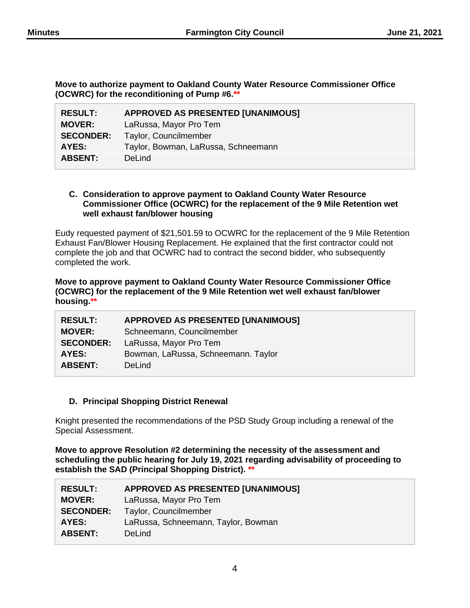**Move to authorize payment to Oakland County Water Resource Commissioner Office (OCWRC) for the reconditioning of Pump #6.\*\***

| <b>RESULT:</b>   | <b>APPROVED AS PRESENTED [UNANIMOUS]</b> |
|------------------|------------------------------------------|
| <b>MOVER:</b>    | LaRussa, Mayor Pro Tem                   |
| <b>SECONDER:</b> | Taylor, Councilmember                    |
| AYES:            | Taylor, Bowman, LaRussa, Schneemann      |
| <b>ABSENT:</b>   | <b>DeLind</b>                            |

### **C. Consideration to approve payment to Oakland County Water Resource Commissioner Office (OCWRC) for the replacement of the 9 Mile Retention wet well exhaust fan/blower housing**

Eudy requested payment of \$21,501.59 to OCWRC for the replacement of the 9 Mile Retention Exhaust Fan/Blower Housing Replacement. He explained that the first contractor could not complete the job and that OCWRC had to contract the second bidder, who subsequently completed the work.

#### **Move to approve payment to Oakland County Water Resource Commissioner Office (OCWRC) for the replacement of the 9 Mile Retention wet well exhaust fan/blower housing.\*\***

| <b>RESULT:</b>   | <b>APPROVED AS PRESENTED [UNANIMOUS]</b> |
|------------------|------------------------------------------|
| <b>MOVER:</b>    | Schneemann, Councilmember                |
| <b>SECONDER:</b> | LaRussa, Mayor Pro Tem                   |
| AYES:            | Bowman, LaRussa, Schneemann. Taylor      |
| <b>ABSENT:</b>   | <b>DeLind</b>                            |

## **D. Principal Shopping District Renewal**

Knight presented the recommendations of the PSD Study Group including a renewal of the Special Assessment.

**Move to approve Resolution #2 determining the necessity of the assessment and scheduling the public hearing for July 19, 2021 regarding advisability of proceeding to establish the SAD (Principal Shopping District). \*\***

| <b>RESULT:</b>   | <b>APPROVED AS PRESENTED [UNANIMOUS]</b> |
|------------------|------------------------------------------|
| <b>MOVER:</b>    | LaRussa, Mayor Pro Tem                   |
| <b>SECONDER:</b> | Taylor, Councilmember                    |
| AYES:            | LaRussa, Schneemann, Taylor, Bowman      |
| <b>ABSENT:</b>   | DeLind                                   |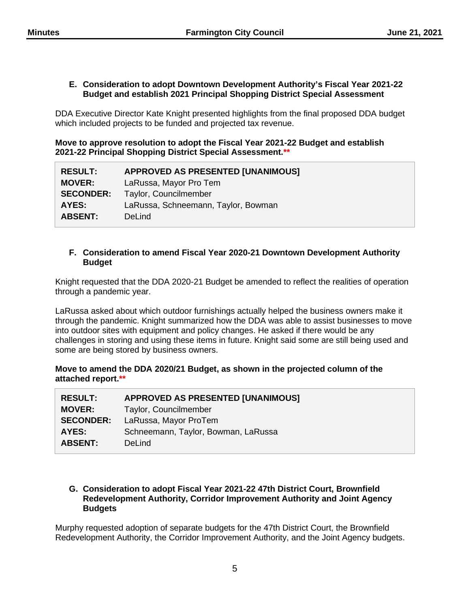#### **E. Consideration to adopt Downtown Development Authority's Fiscal Year 2021-22 Budget and establish 2021 Principal Shopping District Special Assessment**

DDA Executive Director Kate Knight presented highlights from the final proposed DDA budget which included projects to be funded and projected tax revenue.

**Move to approve resolution to adopt the Fiscal Year 2021-22 Budget and establish 2021-22 Principal Shopping District Special Assessment.\*\***

| <b>RESULT:</b>   | <b>APPROVED AS PRESENTED [UNANIMOUS]</b> |
|------------------|------------------------------------------|
| <b>MOVER:</b>    | LaRussa, Mayor Pro Tem                   |
| <b>SECONDER:</b> | Taylor, Councilmember                    |
| AYES:            | LaRussa, Schneemann, Taylor, Bowman      |
| <b>ABSENT:</b>   | DeLind                                   |

### **F. Consideration to amend Fiscal Year 2020-21 Downtown Development Authority Budget**

Knight requested that the DDA 2020-21 Budget be amended to reflect the realities of operation through a pandemic year.

LaRussa asked about which outdoor furnishings actually helped the business owners make it through the pandemic. Knight summarized how the DDA was able to assist businesses to move into outdoor sites with equipment and policy changes. He asked if there would be any challenges in storing and using these items in future. Knight said some are still being used and some are being stored by business owners.

**Move to amend the DDA 2020/21 Budget, as shown in the projected column of the attached report.\*\***

| <b>RESULT:</b>   | <b>APPROVED AS PRESENTED [UNANIMOUS]</b> |
|------------------|------------------------------------------|
| <b>MOVER:</b>    | Taylor, Councilmember                    |
| <b>SECONDER:</b> | LaRussa, Mayor ProTem                    |
| AYES:            | Schneemann, Taylor, Bowman, LaRussa      |
| <b>ABSENT:</b>   | DeLind                                   |

## **G. Consideration to adopt Fiscal Year 2021-22 47th District Court, Brownfield Redevelopment Authority, Corridor Improvement Authority and Joint Agency Budgets**

Murphy requested adoption of separate budgets for the 47th District Court, the Brownfield Redevelopment Authority, the Corridor Improvement Authority, and the Joint Agency budgets.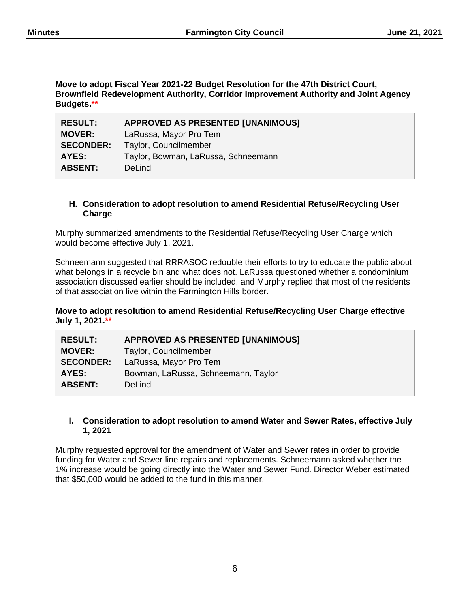**Move to adopt Fiscal Year 2021-22 Budget Resolution for the 47th District Court, Brownfield Redevelopment Authority, Corridor Improvement Authority and Joint Agency Budgets.\*\***

| <b>RESULT:</b>   | <b>APPROVED AS PRESENTED [UNANIMOUS]</b> |
|------------------|------------------------------------------|
| <b>MOVER:</b>    | LaRussa, Mayor Pro Tem                   |
| <b>SECONDER:</b> | Taylor, Councilmember                    |
| AYES:            | Taylor, Bowman, LaRussa, Schneemann      |
| <b>ABSENT:</b>   | <b>DeLind</b>                            |

### **H. Consideration to adopt resolution to amend Residential Refuse/Recycling User Charge**

Murphy summarized amendments to the Residential Refuse/Recycling User Charge which would become effective July 1, 2021.

Schneemann suggested that RRRASOC redouble their efforts to try to educate the public about what belongs in a recycle bin and what does not. LaRussa questioned whether a condominium association discussed earlier should be included, and Murphy replied that most of the residents of that association live within the Farmington Hills border.

## **Move to adopt resolution to amend Residential Refuse/Recycling User Charge effective July 1, 2021.\*\***

| <b>RESULT:</b>   | <b>APPROVED AS PRESENTED [UNANIMOUS]</b> |
|------------------|------------------------------------------|
| <b>MOVER:</b>    | Taylor, Councilmember                    |
| <b>SECONDER:</b> | LaRussa, Mayor Pro Tem                   |
| AYES:            | Bowman, LaRussa, Schneemann, Taylor      |
| <b>ABSENT:</b>   | DeLind                                   |
|                  |                                          |

## **I. Consideration to adopt resolution to amend Water and Sewer Rates, effective July 1, 2021**

Murphy requested approval for the amendment of Water and Sewer rates in order to provide funding for Water and Sewer line repairs and replacements. Schneemann asked whether the 1% increase would be going directly into the Water and Sewer Fund. Director Weber estimated that \$50,000 would be added to the fund in this manner.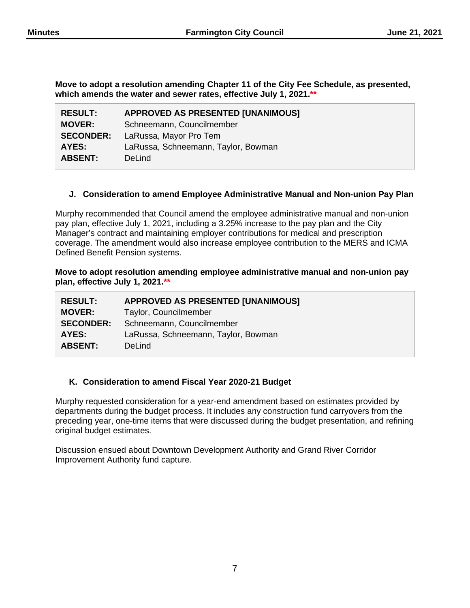**Move to adopt a resolution amending Chapter 11 of the City Fee Schedule, as presented, which amends the water and sewer rates, effective July 1, 2021.\*\***

| <b>APPROVED AS PRESENTED [UNANIMOUS]</b> |
|------------------------------------------|
| Schneemann, Councilmember                |
| LaRussa, Mayor Pro Tem                   |
| LaRussa, Schneemann, Taylor, Bowman      |
| DeLind                                   |
|                                          |

## **J. Consideration to amend Employee Administrative Manual and Non-union Pay Plan**

Murphy recommended that Council amend the employee administrative manual and non-union pay plan, effective July 1, 2021, including a 3.25% increase to the pay plan and the City Manager's contract and maintaining employer contributions for medical and prescription coverage. The amendment would also increase employee contribution to the MERS and ICMA Defined Benefit Pension systems.

**Move to adopt resolution amending employee administrative manual and non-union pay plan, effective July 1, 2021.\*\***

| <b>RESULT:</b>   | <b>APPROVED AS PRESENTED [UNANIMOUS]</b> |
|------------------|------------------------------------------|
| <b>MOVER:</b>    | Taylor, Councilmember                    |
| <b>SECONDER:</b> | Schneemann, Councilmember                |
| AYES:            | LaRussa, Schneemann, Taylor, Bowman      |
| <b>ABSENT:</b>   | DeLind                                   |

## **K. Consideration to amend Fiscal Year 2020-21 Budget**

Murphy requested consideration for a year-end amendment based on estimates provided by departments during the budget process. It includes any construction fund carryovers from the preceding year, one-time items that were discussed during the budget presentation, and refining original budget estimates.

Discussion ensued about Downtown Development Authority and Grand River Corridor Improvement Authority fund capture.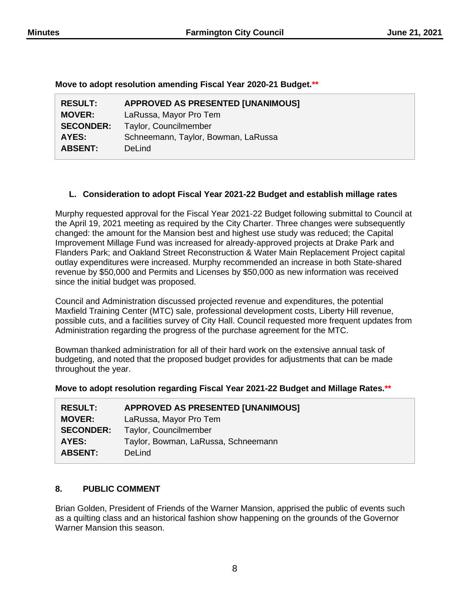| Move to adopt resolution amending Fiscal Year 2020-21 Budget.** |  |  |  |  |  |
|-----------------------------------------------------------------|--|--|--|--|--|
|-----------------------------------------------------------------|--|--|--|--|--|

| <b>RESULT:</b>   | <b>APPROVED AS PRESENTED [UNANIMOUS]</b> |
|------------------|------------------------------------------|
| <b>MOVER:</b>    | LaRussa, Mayor Pro Tem                   |
| <b>SECONDER:</b> | Taylor, Councilmember                    |
| AYES:            | Schneemann, Taylor, Bowman, LaRussa      |
| <b>ABSENT:</b>   | <b>DeLind</b>                            |

## **L. Consideration to adopt Fiscal Year 2021-22 Budget and establish millage rates**

Murphy requested approval for the Fiscal Year 2021-22 Budget following submittal to Council at the April 19, 2021 meeting as required by the City Charter. Three changes were subsequently changed: the amount for the Mansion best and highest use study was reduced; the Capital Improvement Millage Fund was increased for already-approved projects at Drake Park and Flanders Park; and Oakland Street Reconstruction & Water Main Replacement Project capital outlay expenditures were increased. Murphy recommended an increase in both State-shared revenue by \$50,000 and Permits and Licenses by \$50,000 as new information was received since the initial budget was proposed.

Council and Administration discussed projected revenue and expenditures, the potential Maxfield Training Center (MTC) sale, professional development costs, Liberty Hill revenue, possible cuts, and a facilities survey of City Hall. Council requested more frequent updates from Administration regarding the progress of the purchase agreement for the MTC.

Bowman thanked administration for all of their hard work on the extensive annual task of budgeting, and noted that the proposed budget provides for adjustments that can be made throughout the year.

#### **Move to adopt resolution regarding Fiscal Year 2021-22 Budget and Millage Rates.\*\***

| <b>RESULT:</b>   | <b>APPROVED AS PRESENTED [UNANIMOUS]</b> |
|------------------|------------------------------------------|
| <b>MOVER:</b>    | LaRussa, Mayor Pro Tem                   |
| <b>SECONDER:</b> | Taylor, Councilmember                    |
| AYES:            | Taylor, Bowman, LaRussa, Schneemann      |
| <b>ABSENT:</b>   | DeLind                                   |

## **8. PUBLIC COMMENT**

Brian Golden, President of Friends of the Warner Mansion, apprised the public of events such as a quilting class and an historical fashion show happening on the grounds of the Governor Warner Mansion this season.